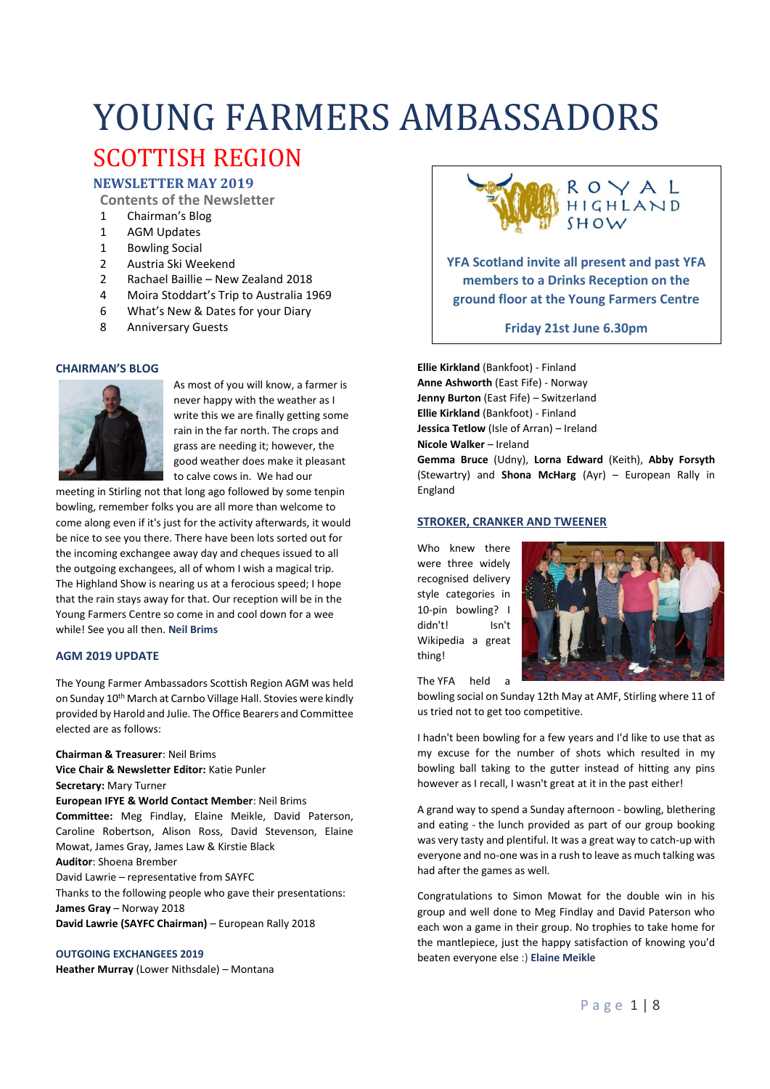# YOUNG FARMERS AMBASSADORS SCOTTISH REGION

# **NEWSLETTER MAY 2019**

**Contents of the Newsletter**

- 1 Chairman's Blog
- 1 AGM Updates
- 1 Bowling Social
- 2 Austria Ski Weekend
- 2 Rachael Baillie New Zealand 2018
- 4 Moira Stoddart's Trip to Australia 1969
- 6 What's New & Dates for your Diary
- 8 Anniversary Guests

#### **CHAIRMAN'S BLOG**



As most of you will know, a farmer is never happy with the weather as I write this we are finally getting some rain in the far north. The crops and grass are needing it; however, the good weather does make it pleasant to calve cows in. We had our

meeting in Stirling not that long ago followed by some tenpin bowling, remember folks you are all more than welcome to come along even if it's just for the activity afterwards, it would be nice to see you there. There have been lots sorted out for the incoming exchangee away day and cheques issued to all the outgoing exchangees, all of whom I wish a magical trip. The Highland Show is nearing us at a ferocious speed; I hope that the rain stays away for that. Our reception will be in the Young Farmers Centre so come in and cool down for a wee while! See you all then. **Neil Brims**

### **AGM 2019 UPDATE**

The Young Farmer Ambassadors Scottish Region AGM was held on Sunday 10th March at Carnbo Village Hall. Stovies were kindly provided by Harold and Julie. The Office Bearers and Committee elected are as follows:

**Chairman & Treasurer**: Neil Brims **Vice Chair & Newsletter Editor:** Katie Punler **Secretary:** Mary Turner **European IFYE & World Contact Member**: Neil Brims **Committee:** Meg Findlay, Elaine Meikle, David Paterson, Caroline Robertson, Alison Ross, David Stevenson, Elaine Mowat, James Gray, James Law & Kirstie Black **Auditor**: Shoena Brember David Lawrie – representative from SAYFC Thanks to the following people who gave their presentations: **James Gray** – Norway 2018

**David Lawrie (SAYFC Chairman)** – European Rally 2018

#### **OUTGOING EXCHANGEES 2019**

**Heather Murray** (Lower Nithsdale) – Montana



**YFA Scotland invite all present and past YFA members to a Drinks Reception on the ground floor at the Young Farmers Centre**

**Friday 21st June 6.30pm**

**Ellie Kirkland** (Bankfoot) - Finland **Anne Ashworth** (East Fife) - Norway **Jenny Burton** (East Fife) – Switzerland **Ellie Kirkland** (Bankfoot) - Finland **Jessica Tetlow** (Isle of Arran) – Ireland **Nicole Walker** – Ireland **Gemma Bruce** (Udny), **Lorna Edward** (Keith), **Abby Forsyth**

(Stewartry) and **Shona McHarg** (Ayr) – European Rally in England

#### **STROKER, CRANKER AND TWEENER**

Who knew there were three widely recognised delivery style categories in 10-pin bowling? I didn't! Isn't Wikipedia a great thing!



The YFA held a

bowling social on Sunday 12th May at AMF, Stirling where 11 of us tried not to get too competitive.

I hadn't been bowling for a few years and I'd like to use that as my excuse for the number of shots which resulted in my bowling ball taking to the gutter instead of hitting any pins however as I recall, I wasn't great at it in the past either!

A grand way to spend a Sunday afternoon - bowling, blethering and eating - the lunch provided as part of our group booking was very tasty and plentiful. It was a great way to catch-up with everyone and no-one was in a rush to leave as much talking was had after the games as well.

Congratulations to Simon Mowat for the double win in his group and well done to Meg Findlay and David Paterson who each won a game in their group. No trophies to take home for the mantlepiece, just the happy satisfaction of knowing you'd beaten everyone else :) **Elaine Meikle**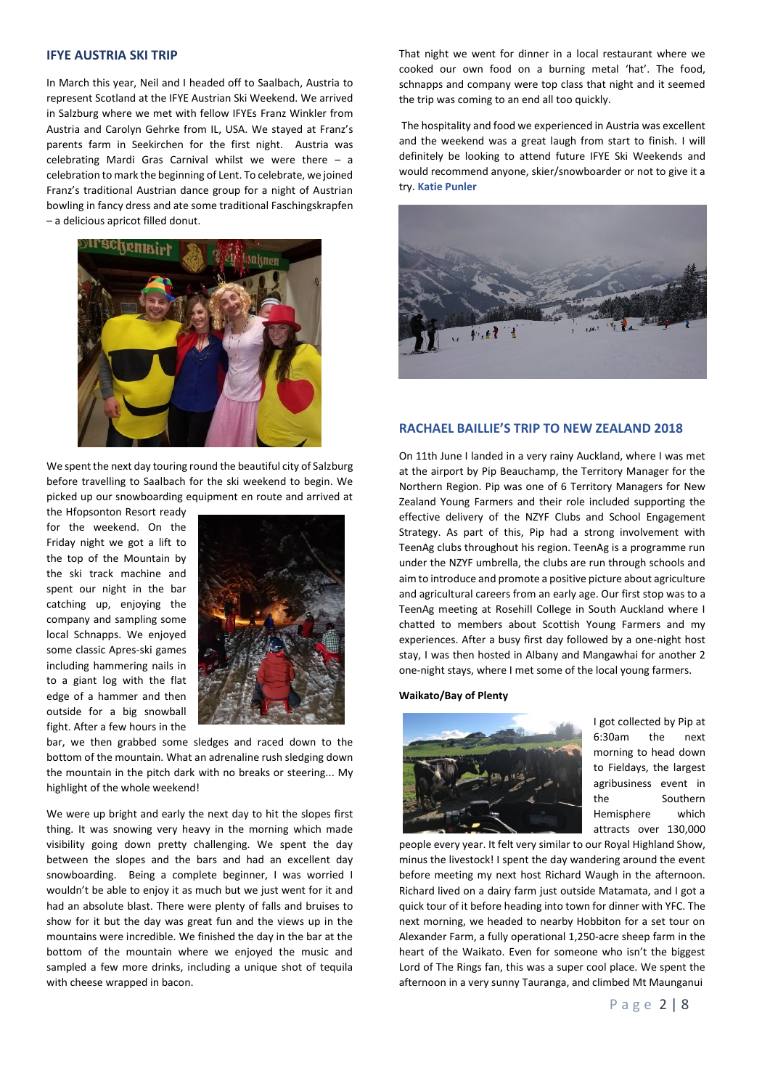#### **IFYE AUSTRIA SKI TRIP**

In March this year, Neil and I headed off to Saalbach, Austria to represent Scotland at the IFYE Austrian Ski Weekend. We arrived in Salzburg where we met with fellow IFYEs Franz Winkler from Austria and Carolyn Gehrke from IL, USA. We stayed at Franz's parents farm in Seekirchen for the first night. Austria was celebrating Mardi Gras Carnival whilst we were there – a celebration to mark the beginning of Lent. To celebrate, we joined Franz's traditional Austrian dance group for a night of Austrian bowling in fancy dress and ate some traditional Faschingskrapfen – a delicious apricot filled donut.



We spent the next day touring round the beautiful city of Salzburg before travelling to Saalbach for the ski weekend to begin. We picked up our snowboarding equipment en route and arrived at

the Hfopsonton Resort ready for the weekend. On the Friday night we got a lift to the top of the Mountain by the ski track machine and spent our night in the bar catching up, enjoying the company and sampling some local Schnapps. We enjoyed some classic Apres-ski games including hammering nails in to a giant log with the flat edge of a hammer and then outside for a big snowball fight. After a few hours in the



bar, we then grabbed some sledges and raced down to the bottom of the mountain. What an adrenaline rush sledging down the mountain in the pitch dark with no breaks or steering... My highlight of the whole weekend!

We were up bright and early the next day to hit the slopes first thing. It was snowing very heavy in the morning which made visibility going down pretty challenging. We spent the day between the slopes and the bars and had an excellent day snowboarding. Being a complete beginner, I was worried I wouldn't be able to enjoy it as much but we just went for it and had an absolute blast. There were plenty of falls and bruises to show for it but the day was great fun and the views up in the mountains were incredible. We finished the day in the bar at the bottom of the mountain where we enjoyed the music and sampled a few more drinks, including a unique shot of tequila with cheese wrapped in bacon.

That night we went for dinner in a local restaurant where we cooked our own food on a burning metal 'hat'. The food, schnapps and company were top class that night and it seemed the trip was coming to an end all too quickly.

The hospitality and food we experienced in Austria was excellent and the weekend was a great laugh from start to finish. I will definitely be looking to attend future IFYE Ski Weekends and would recommend anyone, skier/snowboarder or not to give it a try. **Katie Punler**



#### **RACHAEL BAILLIE'S TRIP TO NEW ZEALAND 2018**

On 11th June I landed in a very rainy Auckland, where I was met at the airport by Pip Beauchamp, the Territory Manager for the Northern Region. Pip was one of 6 Territory Managers for New Zealand Young Farmers and their role included supporting the effective delivery of the NZYF Clubs and School Engagement Strategy. As part of this, Pip had a strong involvement with TeenAg clubs throughout his region. TeenAg is a programme run under the NZYF umbrella, the clubs are run through schools and aim to introduce and promote a positive picture about agriculture and agricultural careers from an early age. Our first stop was to a TeenAg meeting at Rosehill College in South Auckland where I chatted to members about Scottish Young Farmers and my experiences. After a busy first day followed by a one-night host stay, I was then hosted in Albany and Mangawhai for another 2 one-night stays, where I met some of the local young farmers.

#### **Waikato/Bay of Plenty**



I got collected by Pip at 6:30am the next morning to head down to Fieldays, the largest agribusiness event in the Southern Hemisphere which attracts over 130,000

people every year. It felt very similar to our Royal Highland Show, minus the livestock! I spent the day wandering around the event before meeting my next host Richard Waugh in the afternoon. Richard lived on a dairy farm just outside Matamata, and I got a quick tour of it before heading into town for dinner with YFC. The next morning, we headed to nearby Hobbiton for a set tour on Alexander Farm, a fully operational 1,250-acre sheep farm in the heart of the Waikato. Even for someone who isn't the biggest Lord of The Rings fan, this was a super cool place. We spent the afternoon in a very sunny Tauranga, and climbed Mt Maunganui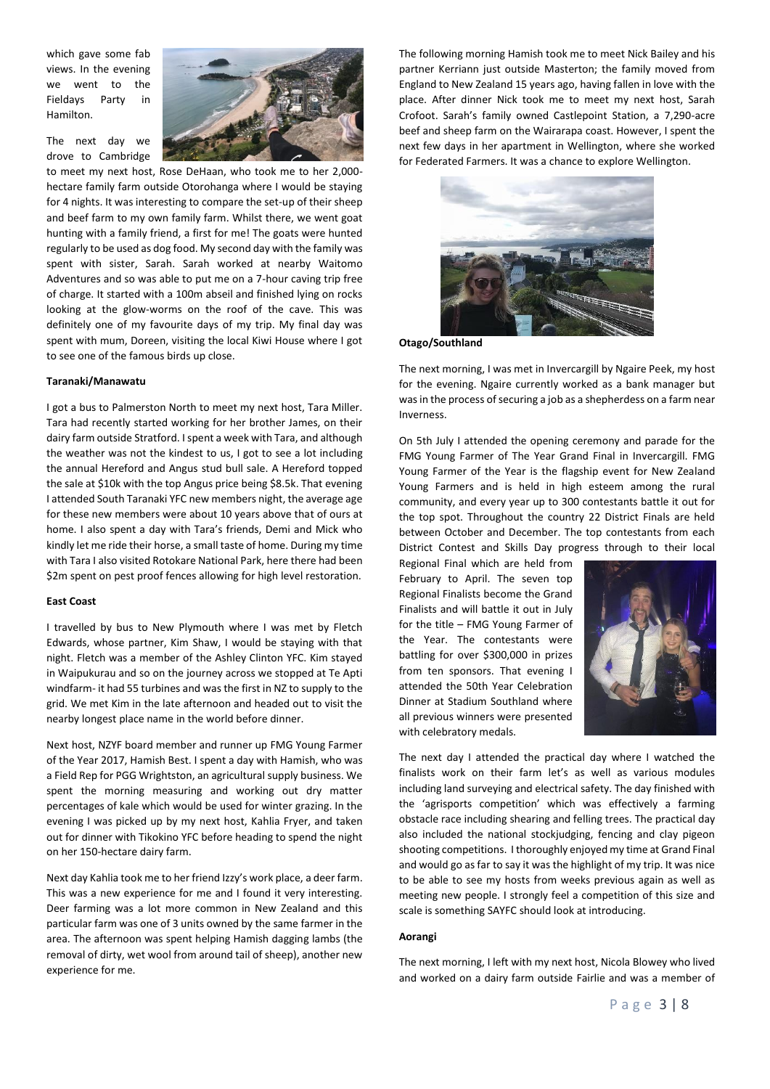which gave some fab views. In the evening we went to the Fieldays Party in Hamilton.

The next day we drove to Cambridge



to meet my next host, Rose DeHaan, who took me to her 2,000 hectare family farm outside Otorohanga where I would be staying for 4 nights. It was interesting to compare the set-up of their sheep and beef farm to my own family farm. Whilst there, we went goat hunting with a family friend, a first for me! The goats were hunted regularly to be used as dog food. My second day with the family was spent with sister, Sarah. Sarah worked at nearby Waitomo Adventures and so was able to put me on a 7-hour caving trip free of charge. It started with a 100m abseil and finished lying on rocks looking at the glow-worms on the roof of the cave. This was definitely one of my favourite days of my trip. My final day was spent with mum, Doreen, visiting the local Kiwi House where I got to see one of the famous birds up close.

#### **Taranaki/Manawatu**

I got a bus to Palmerston North to meet my next host, Tara Miller. Tara had recently started working for her brother James, on their dairy farm outside Stratford. I spent a week with Tara, and although the weather was not the kindest to us, I got to see a lot including the annual Hereford and Angus stud bull sale. A Hereford topped the sale at \$10k with the top Angus price being \$8.5k. That evening I attended South Taranaki YFC new members night, the average age for these new members were about 10 years above that of ours at home. I also spent a day with Tara's friends, Demi and Mick who kindly let me ride their horse, a small taste of home. During my time with Tara I also visited Rotokare National Park, here there had been \$2m spent on pest proof fences allowing for high level restoration.

#### **East Coast**

I travelled by bus to New Plymouth where I was met by Fletch Edwards, whose partner, Kim Shaw, I would be staying with that night. Fletch was a member of the Ashley Clinton YFC. Kim stayed in Waipukurau and so on the journey across we stopped at Te Apti windfarm- it had 55 turbines and was the first in NZ to supply to the grid. We met Kim in the late afternoon and headed out to visit the nearby longest place name in the world before dinner.

Next host, NZYF board member and runner up FMG Young Farmer of the Year 2017, Hamish Best. I spent a day with Hamish, who was a Field Rep for PGG Wrightston, an agricultural supply business. We spent the morning measuring and working out dry matter percentages of kale which would be used for winter grazing. In the evening I was picked up by my next host, Kahlia Fryer, and taken out for dinner with Tikokino YFC before heading to spend the night on her 150-hectare dairy farm.

Next day Kahlia took me to her friend Izzy's work place, a deer farm. This was a new experience for me and I found it very interesting. Deer farming was a lot more common in New Zealand and this particular farm was one of 3 units owned by the same farmer in the area. The afternoon was spent helping Hamish dagging lambs (the removal of dirty, wet wool from around tail of sheep), another new experience for me.

The following morning Hamish took me to meet Nick Bailey and his partner Kerriann just outside Masterton: the family moved from England to New Zealand 15 years ago, having fallen in love with the place. After dinner Nick took me to meet my next host, Sarah Crofoot. Sarah's family owned Castlepoint Station, a 7,290-acre beef and sheep farm on the Wairarapa coast. However, I spent the next few days in her apartment in Wellington, where she worked for Federated Farmers. It was a chance to explore Wellington.



**Otago/Southland**

The next morning, I was met in Invercargill by Ngaire Peek, my host for the evening. Ngaire currently worked as a bank manager but was in the process of securing a job as a shepherdess on a farm near Inverness.

On 5th July I attended the opening ceremony and parade for the FMG Young Farmer of The Year Grand Final in Invercargill. FMG Young Farmer of the Year is the flagship event for New Zealand Young Farmers and is held in high esteem among the rural community, and every year up to 300 contestants battle it out for the top spot. Throughout the country 22 District Finals are held between October and December. The top contestants from each District Contest and Skills Day progress through to their local

Regional Final which are held from February to April. The seven top Regional Finalists become the Grand Finalists and will battle it out in July for the title – FMG Young Farmer of the Year. The contestants were battling for over \$300,000 in prizes from ten sponsors. That evening I attended the 50th Year Celebration Dinner at Stadium Southland where all previous winners were presented with celebratory medals.



The next day I attended the practical day where I watched the finalists work on their farm let's as well as various modules including land surveying and electrical safety. The day finished with the 'agrisports competition' which was effectively a farming obstacle race including shearing and felling trees. The practical day also included the national stockjudging, fencing and clay pigeon shooting competitions. I thoroughly enjoyed my time at Grand Final and would go as far to say it was the highlight of my trip. It was nice to be able to see my hosts from weeks previous again as well as meeting new people. I strongly feel a competition of this size and scale is something SAYFC should look at introducing.

#### **Aorangi**

The next morning, I left with my next host, Nicola Blowey who lived and worked on a dairy farm outside Fairlie and was a member of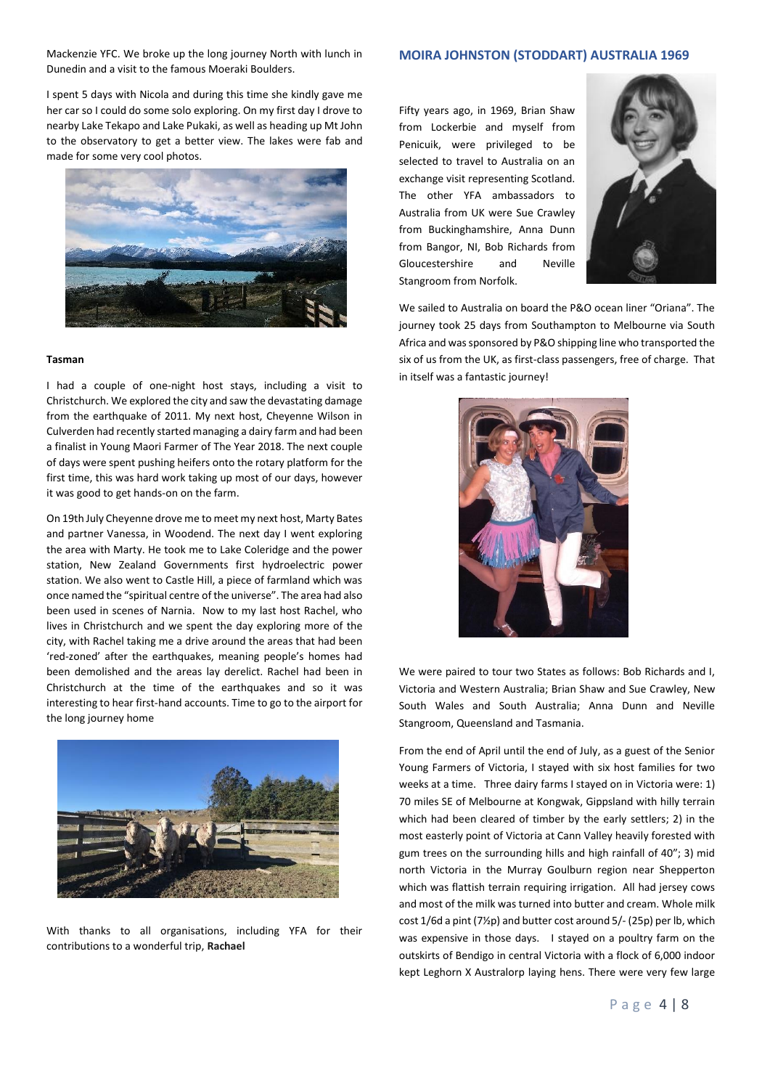Mackenzie YFC. We broke up the long journey North with lunch in Dunedin and a visit to the famous Moeraki Boulders.

# **MOIRA JOHNSTON (STODDART) AUSTRALIA 1969**

I spent 5 days with Nicola and during this time she kindly gave me her car so I could do some solo exploring. On my first day I drove to nearby Lake Tekapo and Lake Pukaki, as well as heading up Mt John to the observatory to get a better view. The lakes were fab and made for some very cool photos.



#### **Tasman**

I had a couple of one-night host stays, including a visit to Christchurch. We explored the city and saw the devastating damage from the earthquake of 2011. My next host, Cheyenne Wilson in Culverden had recently started managing a dairy farm and had been a finalist in Young Maori Farmer of The Year 2018. The next couple of days were spent pushing heifers onto the rotary platform for the first time, this was hard work taking up most of our days, however it was good to get hands-on on the farm.

On 19th July Cheyenne drove me to meet my next host, Marty Bates and partner Vanessa, in Woodend. The next day I went exploring the area with Marty. He took me to Lake Coleridge and the power station, New Zealand Governments first hydroelectric power station. We also went to Castle Hill, a piece of farmland which was once named the "spiritual centre of the universe". The area had also been used in scenes of Narnia. Now to my last host Rachel, who lives in Christchurch and we spent the day exploring more of the city, with Rachel taking me a drive around the areas that had been 'red-zoned' after the earthquakes, meaning people's homes had been demolished and the areas lay derelict. Rachel had been in Christchurch at the time of the earthquakes and so it was interesting to hear first-hand accounts. Time to go to the airport for the long journey home



With thanks to all organisations, including YFA for their contributions to a wonderful trip, **Rachael**

Fifty years ago, in 1969, Brian Shaw from Lockerbie and myself from Penicuik, were privileged to be selected to travel to Australia on an exchange visit representing Scotland. The other YFA ambassadors to Australia from UK were Sue Crawley from Buckinghamshire, Anna Dunn from Bangor, NI, Bob Richards from Gloucestershire and Neville Stangroom from Norfolk.



We sailed to Australia on board the P&O ocean liner "Oriana". The journey took 25 days from Southampton to Melbourne via South Africa and was sponsored by P&O shipping line who transported the six of us from the UK, as first-class passengers, free of charge. That in itself was a fantastic journey!



We were paired to tour two States as follows: Bob Richards and I, Victoria and Western Australia; Brian Shaw and Sue Crawley, New South Wales and South Australia; Anna Dunn and Neville Stangroom, Queensland and Tasmania.

From the end of April until the end of July, as a guest of the Senior Young Farmers of Victoria, I stayed with six host families for two weeks at a time. Three dairy farms I stayed on in Victoria were: 1) 70 miles SE of Melbourne at Kongwak, Gippsland with hilly terrain which had been cleared of timber by the early settlers; 2) in the most easterly point of Victoria at Cann Valley heavily forested with gum trees on the surrounding hills and high rainfall of 40"; 3) mid north Victoria in the Murray Goulburn region near Shepperton which was flattish terrain requiring irrigation. All had jersey cows and most of the milk was turned into butter and cream. Whole milk cost 1/6d a pint (7½p) and butter cost around 5/- (25p) per lb, which was expensive in those days. I stayed on a poultry farm on the outskirts of Bendigo in central Victoria with a flock of 6,000 indoor kept Leghorn X Australorp laying hens. There were very few large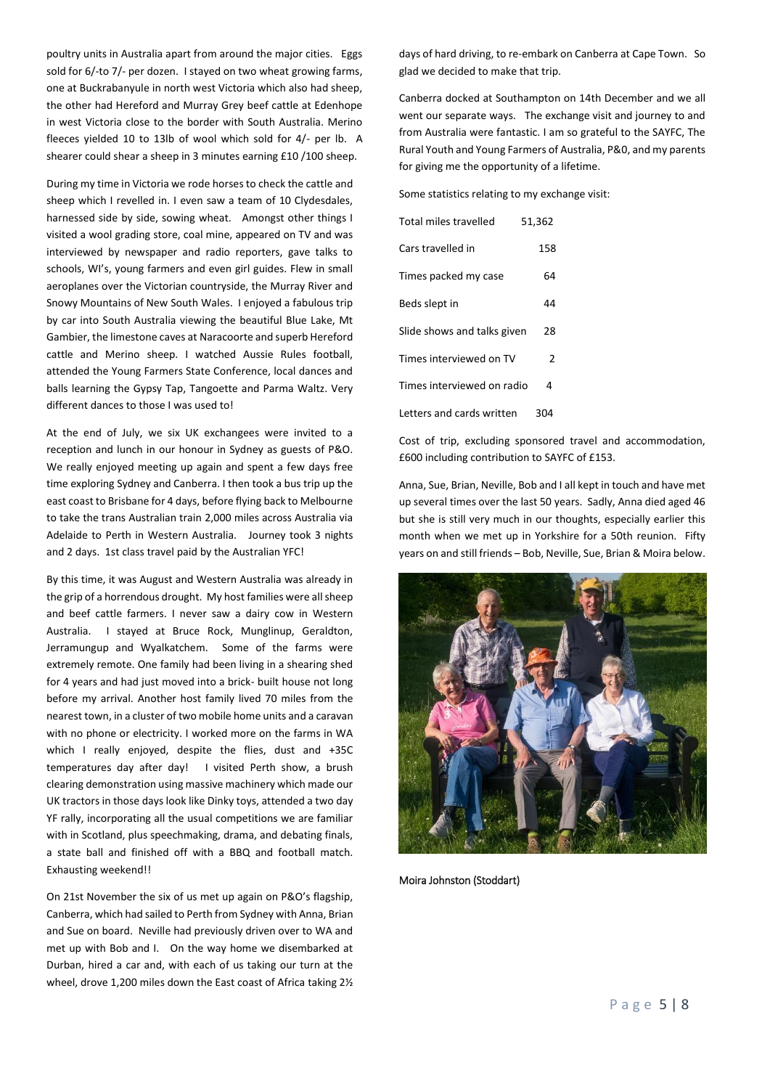poultry units in Australia apart from around the major cities. Eggs sold for 6/-to 7/- per dozen. I stayed on two wheat growing farms, one at Buckrabanyule in north west Victoria which also had sheep, the other had Hereford and Murray Grey beef cattle at Edenhope in west Victoria close to the border with South Australia. Merino fleeces yielded 10 to 13lb of wool which sold for 4/- per lb. A shearer could shear a sheep in 3 minutes earning £10 /100 sheep.

During my time in Victoria we rode horses to check the cattle and sheep which I revelled in. I even saw a team of 10 Clydesdales, harnessed side by side, sowing wheat. Amongst other things I visited a wool grading store, coal mine, appeared on TV and was interviewed by newspaper and radio reporters, gave talks to schools, WI's, young farmers and even girl guides. Flew in small aeroplanes over the Victorian countryside, the Murray River and Snowy Mountains of New South Wales. I enjoyed a fabulous trip by car into South Australia viewing the beautiful Blue Lake, Mt Gambier, the limestone caves at Naracoorte and superb Hereford cattle and Merino sheep. I watched Aussie Rules football, attended the Young Farmers State Conference, local dances and balls learning the Gypsy Tap, Tangoette and Parma Waltz. Very different dances to those I was used to!

At the end of July, we six UK exchangees were invited to a reception and lunch in our honour in Sydney as guests of P&O. We really enjoyed meeting up again and spent a few days free time exploring Sydney and Canberra. I then took a bus trip up the east coast to Brisbane for 4 days, before flying back to Melbourne to take the trans Australian train 2,000 miles across Australia via Adelaide to Perth in Western Australia. Journey took 3 nights and 2 days. 1st class travel paid by the Australian YFC!

By this time, it was August and Western Australia was already in the grip of a horrendous drought. My host families were all sheep and beef cattle farmers. I never saw a dairy cow in Western Australia. I stayed at Bruce Rock, Munglinup, Geraldton, Jerramungup and Wyalkatchem. Some of the farms were extremely remote. One family had been living in a shearing shed for 4 years and had just moved into a brick- built house not long before my arrival. Another host family lived 70 miles from the nearest town, in a cluster of two mobile home units and a caravan with no phone or electricity. I worked more on the farms in WA which I really enjoyed, despite the flies, dust and +35C temperatures day after day! I visited Perth show, a brush clearing demonstration using massive machinery which made our UK tractors in those days look like Dinky toys, attended a two day YF rally, incorporating all the usual competitions we are familiar with in Scotland, plus speechmaking, drama, and debating finals, a state ball and finished off with a BBQ and football match. Exhausting weekend!!

On 21st November the six of us met up again on P&O's flagship, Canberra, which had sailed to Perth from Sydney with Anna, Brian and Sue on board. Neville had previously driven over to WA and met up with Bob and I. On the way home we disembarked at Durban, hired a car and, with each of us taking our turn at the wheel, drove 1,200 miles down the East coast of Africa taking 2½

days of hard driving, to re-embark on Canberra at Cape Town. So glad we decided to make that trip.

Canberra docked at Southampton on 14th December and we all went our separate ways. The exchange visit and journey to and from Australia were fantastic. I am so grateful to the SAYFC, The Rural Youth and Young Farmers of Australia, P&0, and my parents for giving me the opportunity of a lifetime.

Some statistics relating to my exchange visit:

| Total miles travelled       | 51,362 |
|-----------------------------|--------|
| Cars travelled in           | 158    |
| Times packed my case        | 64     |
| Beds slept in               | 44     |
| Slide shows and talks given | 28     |
| Times interviewed on TV     | 2      |
| Times interviewed on radio  | 4      |
| Letters and cards written   | 304    |

Cost of trip, excluding sponsored travel and accommodation, £600 including contribution to SAYFC of £153.

Anna, Sue, Brian, Neville, Bob and I all kept in touch and have met up several times over the last 50 years. Sadly, Anna died aged 46 but she is still very much in our thoughts, especially earlier this month when we met up in Yorkshire for a 50th reunion. Fifty years on and still friends – Bob, Neville, Sue, Brian & Moira below.



Moira Johnston (Stoddart)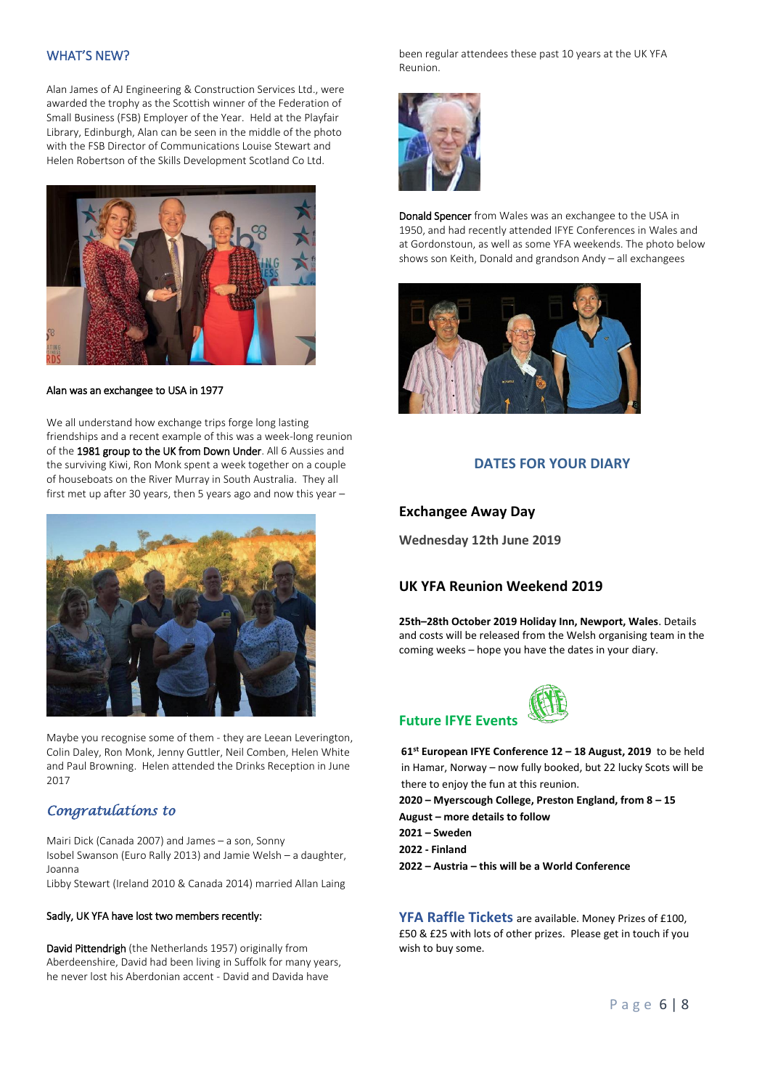### WHAT'S NEW?

Alan James of AJ Engineering & Construction Services Ltd., were awarded the trophy as the Scottish winner of the Federation of Small Business (FSB) Employer of the Year. Held at the Playfair Library, Edinburgh, Alan can be seen in the middle of the photo with the FSB Director of Communications Louise Stewart and Helen Robertson of the Skills Development Scotland Co Ltd.



#### Alan was an exchangee to USA in 1977

We all understand how exchange trips forge long lasting friendships and a recent example of this was a week-long reunion of the 1981 group to the UK from Down Under. All 6 Aussies and the surviving Kiwi, Ron Monk spent a week together on a couple of houseboats on the River Murray in South Australia. They all first met up after 30 years, then 5 years ago and now this year –



Maybe you recognise some of them - they are Leean Leverington, Colin Daley, Ron Monk, Jenny Guttler, Neil Comben, Helen White and Paul Browning. Helen attended the Drinks Reception in June 2017

# *Congratulations to*

Mairi Dick (Canada 2007) and James – a son, Sonny Isobel Swanson (Euro Rally 2013) and Jamie Welsh – a daughter, Joanna

Libby Stewart (Ireland 2010 & Canada 2014) married Allan Laing

#### Sadly, UK YFA have lost two members recently:

David Pittendrigh (the Netherlands 1957) originally from Aberdeenshire, David had been living in Suffolk for many years, he never lost his Aberdonian accent - David and Davida have

been regular attendees these past 10 years at the UK YFA Reunion.



Donald Spencer from Wales was an exchangee to the USA in 1950, and had recently attended IFYE Conferences in Wales and at Gordonstoun, as well as some YFA weekends. The photo below shows son Keith, Donald and grandson Andy – all exchangees



## **DATES FOR YOUR DIARY**

#### **Exchangee Away Day**

**Wednesday 12th June 2019**

# **UK YFA Reunion Weekend 2019**

**25th–28th October 2019 Holiday Inn, Newport, Wales**. Details and costs will be released from the Welsh organising team in the coming weeks – hope you have the dates in your diary.

# **Future IFYE Events**

**61st European IFYE Conference 12 – 18 August, 2019** to be held in Hamar, Norway – now fully booked, but 22 lucky Scots will be there to enjoy the fun at this reunion.

**2020 – Myerscough College, Preston England, from 8 – 15 August – more details to follow**

**2021 – Sweden**

**2022 - Finland**

**2022 – Austria – this will be a World Conference**

**YFA Raffle Tickets** are available. Money Prizes of £100, £50 & £25 with lots of other prizes. Please get in touch if you wish to buy some.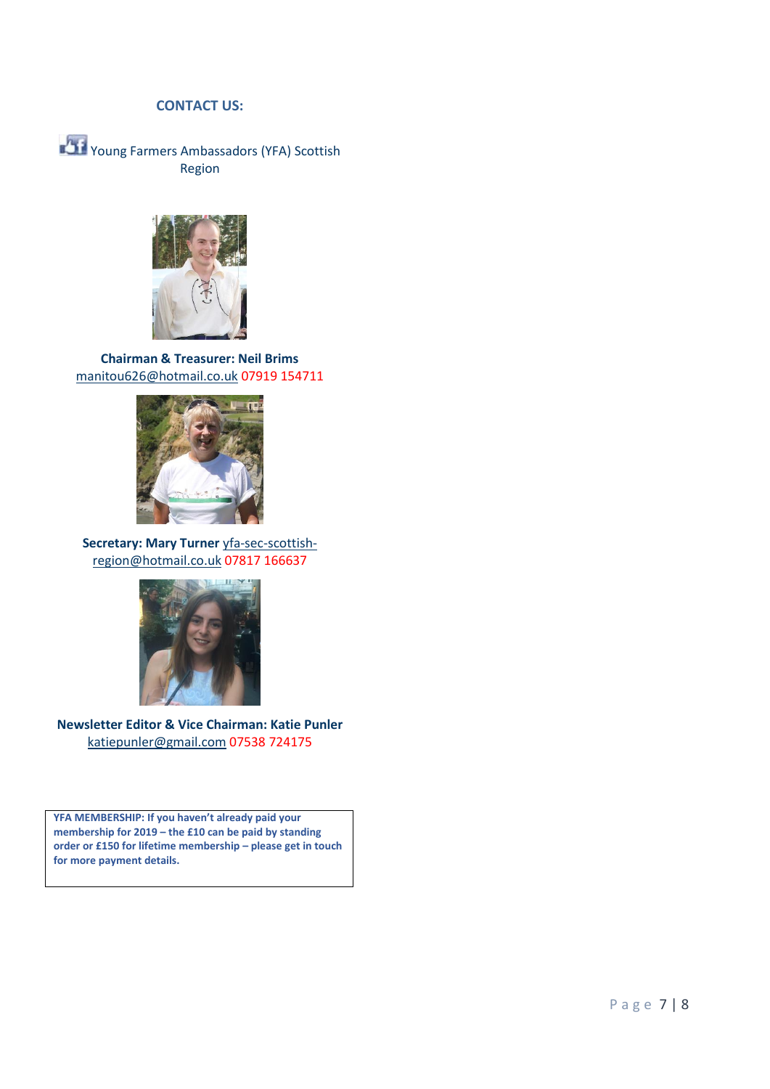# **CONTACT US:**

Young Farmers Ambassadors (YFA) Scottish Region



**Chairman & Treasurer: Neil Brims** [manitou626@hotmail.co.uk](mailto:manitou626@hotmail.co.uk) 07919 154711



**Secretary: Mary Turner** [yfa-sec-scottish](mailto:yfa-sec-scottish-region@hotmail.co.uk)[region@hotmail.co.uk](mailto:yfa-sec-scottish-region@hotmail.co.uk) 07817 166637



**Newsletter Editor & Vice Chairman: Katie Punler** [katiepunler@gmail.com](mailto:katiepunler@gmail.com) 07538 724175

**YFA MEMBERSHIP: If you haven't already paid your membership for 2019 – the £10 can be paid by standing order or £150 for lifetime membership – please get in touch for more payment details.**